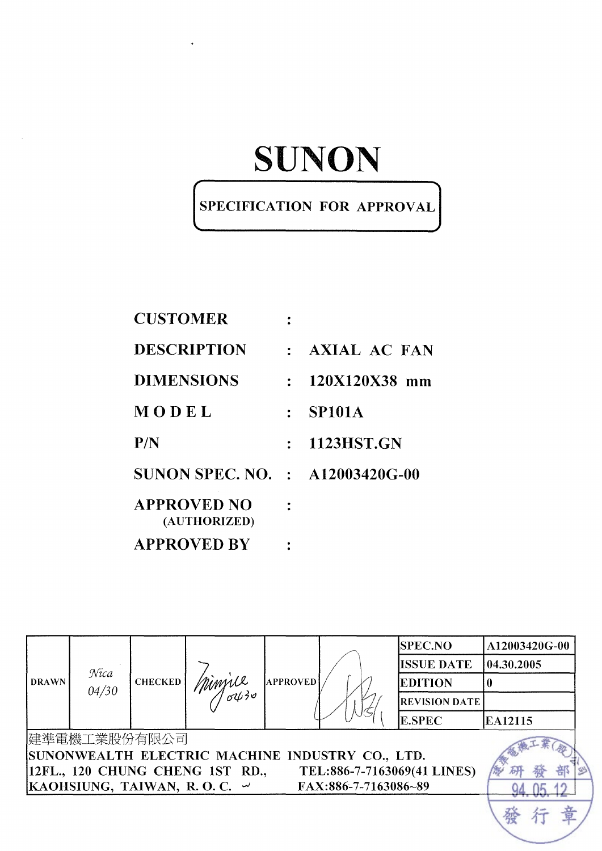### SPECIFICATION FOR APPROVAL

| <b>CUSTOMER</b>                        |                  |                   |
|----------------------------------------|------------------|-------------------|
| <b>DESCRIPTION</b>                     |                  | : AXIAL AC FAN    |
| DIMENSIONS                             |                  | $: 120X120X38$ mm |
| MODEL                                  | $\mathbb{R}^{n}$ | <b>SP101A</b>     |
| P/N                                    |                  | : 1123HST.GN      |
| <b>SUNON SPEC. NO. : A12003420G-00</b> |                  |                   |
| APPROVED NO<br>(AUTHORIZED)            |                  |                   |
| <b>APPROVED RV</b>                     |                  |                   |

|              |               |                |                                                 |                 |                      | <b>SPEC.NO</b>              | A12003420G-00 |  |
|--------------|---------------|----------------|-------------------------------------------------|-----------------|----------------------|-----------------------------|---------------|--|
|              |               |                |                                                 |                 | <b>ISSUE DATE</b>    | 04.30.2005                  |               |  |
| <b>DRAWN</b> | Nica<br>04/30 | <b>CHECKED</b> | minjue<br>ouro                                  | <b>APPROVED</b> |                      | <b>EDITION</b>              |               |  |
|              |               |                |                                                 |                 |                      | <b>REVISION DATE</b>        |               |  |
|              |               |                |                                                 |                 |                      | <b>E.SPEC</b>               | EA12115       |  |
|              | 建準電機工業股份有限公司  |                |                                                 |                 |                      |                             |               |  |
|              |               |                | SUNONWEALTH ELECTRIC MACHINE INDUSTRY CO., LTD. |                 |                      |                             |               |  |
|              |               |                | 12FL., 120 CHUNG CHENG 1ST RD.,                 |                 |                      | TEL:886-7-7163069(41 LINES) |               |  |
|              |               |                | KAOHSIUNG, TAIWAN, R.O.C. $\sim$                |                 | FAX:886-7-7163086~89 |                             |               |  |
|              |               |                |                                                 |                 |                      |                             |               |  |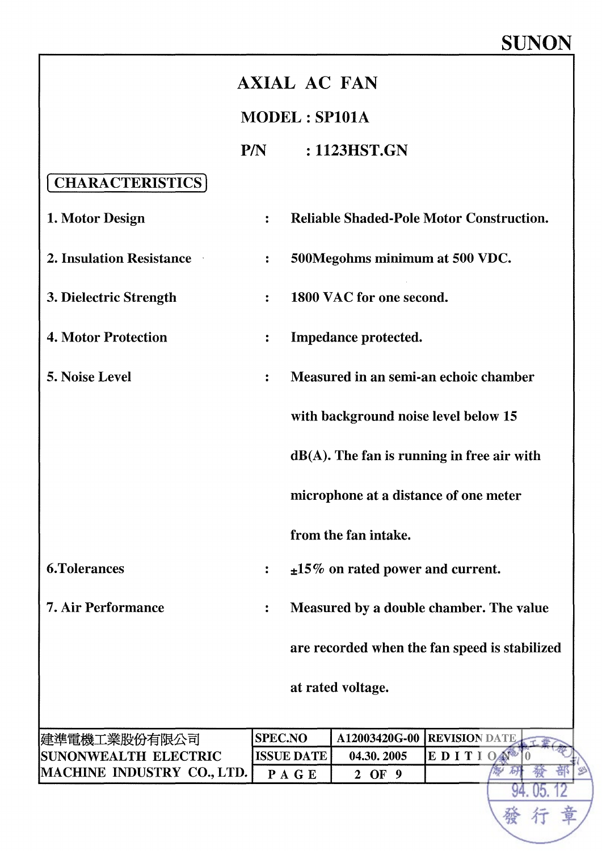| <b>AXIAL AC FAN</b>               |                      |                                        |                                                 |  |  |  |
|-----------------------------------|----------------------|----------------------------------------|-------------------------------------------------|--|--|--|
|                                   | <b>MODEL: SP101A</b> |                                        |                                                 |  |  |  |
|                                   | P/N                  | : 1123HST.GN                           |                                                 |  |  |  |
| <b>CHARACTERISTICS</b>            |                      |                                        |                                                 |  |  |  |
| 1. Motor Design                   | $\ddot{\cdot}$       |                                        | <b>Reliable Shaded-Pole Motor Construction.</b> |  |  |  |
| <b>2. Insulation Resistance</b>   | $\ddot{\cdot}$       | 500Megohms minimum at 500 VDC.         |                                                 |  |  |  |
| 3. Dielectric Strength            | $\ddot{\cdot}$       | 1800 VAC for one second.               |                                                 |  |  |  |
| <b>4. Motor Protection</b>        | $\ddot{\cdot}$       | Impedance protected.                   |                                                 |  |  |  |
| 5. Noise Level                    | $\ddot{\cdot}$       |                                        | Measured in an semi-an echoic chamber           |  |  |  |
|                                   |                      |                                        | with background noise level below 15            |  |  |  |
|                                   |                      |                                        | $dB(A)$ . The fan is running in free air with   |  |  |  |
|                                   |                      |                                        | microphone at a distance of one meter           |  |  |  |
|                                   |                      | from the fan intake.                   |                                                 |  |  |  |
| <b>6.Tolerances</b>               |                      | $\pm 15\%$ on rated power and current. |                                                 |  |  |  |
| <b>7. Air Performance</b>         |                      |                                        | Measured by a double chamber. The value         |  |  |  |
|                                   |                      |                                        | are recorded when the fan speed is stabilized   |  |  |  |
|                                   |                      | at rated voltage.                      |                                                 |  |  |  |
| 建準電機工業股份有限公司                      | <b>SPEC.NO</b>       | A12003420G-00                          | <b>REVISION DATE</b>                            |  |  |  |
| <b>SUNONWEALTH ELECTRIC</b>       | <b>ISSUE DATE</b>    | 04.30.2005                             | EDITION                                         |  |  |  |
| <b>MACHINE INDUSTRY CO., LTD.</b> | PAGE                 | 2 OF 9                                 |                                                 |  |  |  |
|                                   |                      |                                        |                                                 |  |  |  |
|                                   |                      |                                        |                                                 |  |  |  |
|                                   |                      |                                        |                                                 |  |  |  |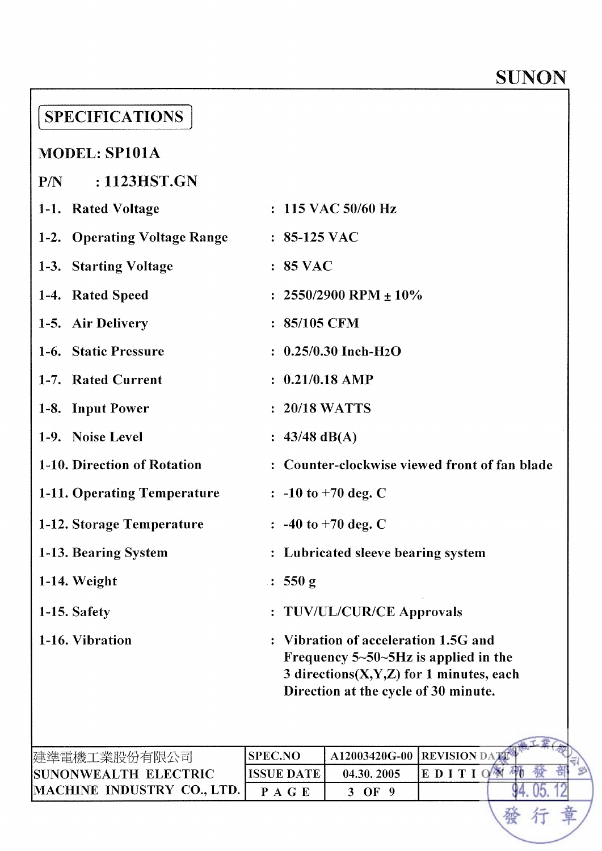94.05.12

行

章

發

| <b>SPECIFICATIONS</b>                |                                                                                                                                                                                 |                                     |                                               |  |  |
|--------------------------------------|---------------------------------------------------------------------------------------------------------------------------------------------------------------------------------|-------------------------------------|-----------------------------------------------|--|--|
| <b>MODEL: SP101A</b>                 |                                                                                                                                                                                 |                                     |                                               |  |  |
| : 1123HST.GN<br>P/N                  |                                                                                                                                                                                 |                                     |                                               |  |  |
| 1-1. Rated Voltage                   |                                                                                                                                                                                 | $: 115$ VAC 50/60 Hz                |                                               |  |  |
| 1-2. Operating Voltage Range         | $: 85-125$ VAC                                                                                                                                                                  |                                     |                                               |  |  |
| 1-3. Starting Voltage                | $: 85$ VAC                                                                                                                                                                      |                                     |                                               |  |  |
| 1-4. Rated Speed                     |                                                                                                                                                                                 | : $2550/2900$ RPM $\pm 10\%$        |                                               |  |  |
| 1-5. Air Delivery                    | : 85/105 CFM                                                                                                                                                                    |                                     |                                               |  |  |
| 1-6. Static Pressure                 |                                                                                                                                                                                 | $: 0.25/0.30$ Inch-H <sub>2</sub> O |                                               |  |  |
| 1-7. Rated Current                   | $: 0.21/0.18$ AMP                                                                                                                                                               |                                     |                                               |  |  |
| 1-8. Input Power                     | : 20/18 WATTS                                                                                                                                                                   |                                     |                                               |  |  |
| 1-9. Noise Level                     | : $43/48$ dB(A)                                                                                                                                                                 |                                     |                                               |  |  |
| 1-10. Direction of Rotation          |                                                                                                                                                                                 |                                     | : Counter-clockwise viewed front of fan blade |  |  |
| 1-11. Operating Temperature          |                                                                                                                                                                                 | $\therefore$ -10 to +70 deg. C      |                                               |  |  |
| 1-12. Storage Temperature            |                                                                                                                                                                                 | : $-40$ to $+70$ deg. C             |                                               |  |  |
| 1-13. Bearing System                 |                                                                                                                                                                                 | : Lubricated sleeve bearing system  |                                               |  |  |
| $1-14. Weight$                       | : 550 g                                                                                                                                                                         |                                     |                                               |  |  |
| 1-15. Safety                         |                                                                                                                                                                                 | <b>TUV/UL/CUR/CE Approvals</b>      |                                               |  |  |
| 1-16. Vibration                      | Vibration of acceleration 1.5G and<br>Frequency $5 \sim 50 \sim 5 Hz$ is applied in the<br>3 directions $(X, Y, Z)$ for 1 minutes, each<br>Direction at the cycle of 30 minute. |                                     |                                               |  |  |
|                                      |                                                                                                                                                                                 |                                     |                                               |  |  |
| 建準電機工業股份有限公司<br>SUNONWEALTH ELECTRIC | <b>SPEC.NO</b><br><b>ISSUE DATE</b>                                                                                                                                             | A12003420G-00<br>04.30.2005         | <b>REVISION DAT</b><br>纱<br>EDITION           |  |  |
| MACHINE INDUSTRY CO., LTD.           | PAGE                                                                                                                                                                            | 3 OF 9                              |                                               |  |  |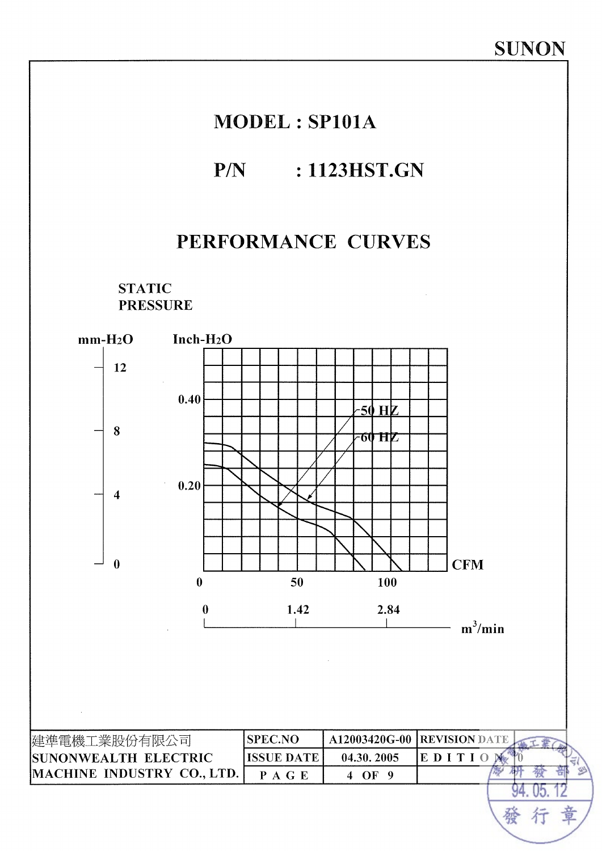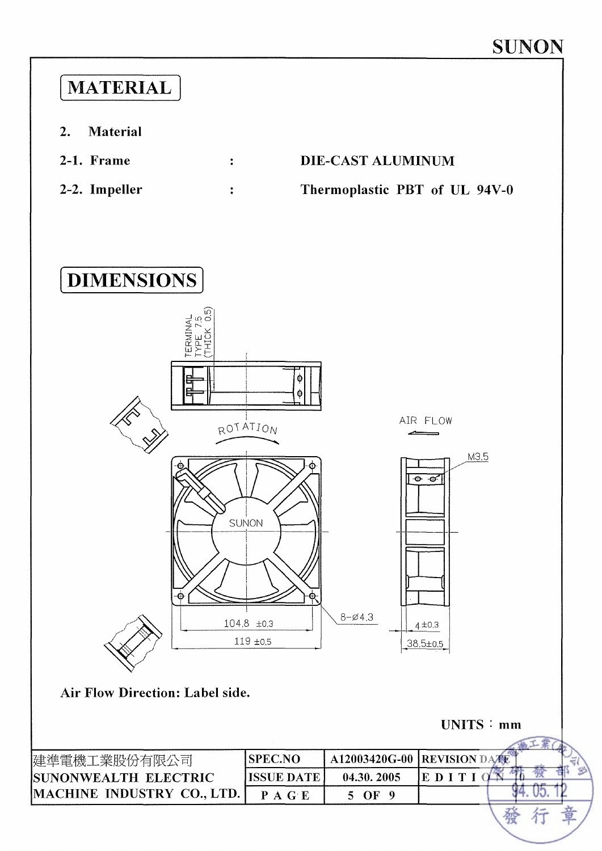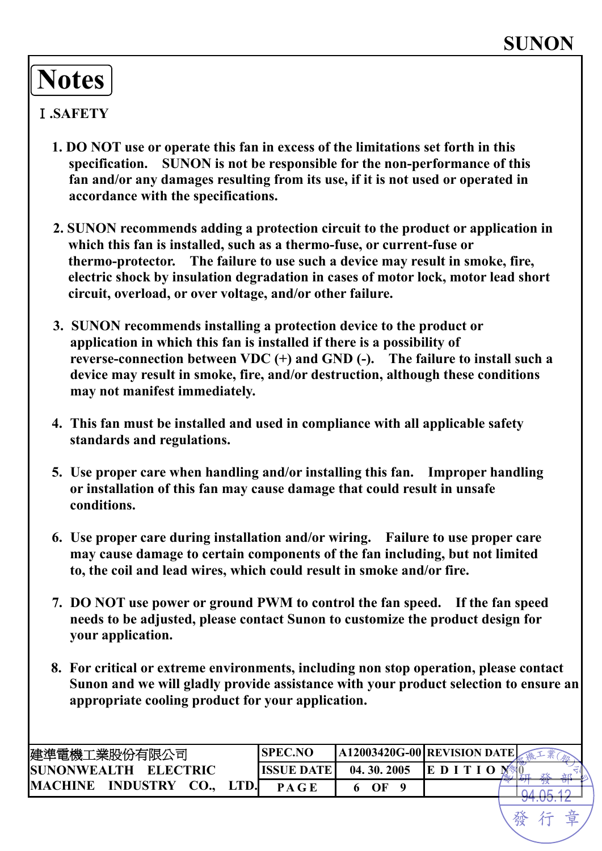# **Notes**

#### Ⅰ**.SAFETY**

- **1. DO NOT use or operate this fan in excess of the limitations set forth in this specification. SUNON is not be responsible for the non-performance of this fan and/or any damages resulting from its use, if it is not used or operated in accordance with the specifications.**
- **2. SUNON recommends adding a protection circuit to the product or application in which this fan is installed, such as a thermo-fuse, or current-fuse or thermo-protector. The failure to use such a device may result in smoke, fire, electric shock by insulation degradation in cases of motor lock, motor lead short circuit, overload, or over voltage, and/or other failure.**
- **3. SUNON recommends installing a protection device to the product or application in which this fan is installed if there is a possibility of reverse-connection between VDC (+) and GND (-). The failure to install such a device may result in smoke, fire, and/or destruction, although these conditions may not manifest immediately.**
- **4. This fan must be installed and used in compliance with all applicable safety standards and regulations.**
- **5. Use proper care when handling and/or installing this fan. Improper handling or installation of this fan may cause damage that could result in unsafe conditions.**
- **6. Use proper care during installation and/or wiring. Failure to use proper care may cause damage to certain components of the fan including, but not limited to, the coil and lead wires, which could result in smoke and/or fire.**
- **7. DO NOT use power or ground PWM to control the fan speed. If the fan speed needs to be adjusted, please contact Sunon to customize the product design for your application.**
- **8. For critical or extreme environments, including non stop operation, please contact Sunon and we will gladly provide assistance with your product selection to ensure an appropriate cooling product for your application.**

| 建準電機工業股份有限公司                                     | <b>ISPEC.NO</b>   | A12003420G-00 REVISION DATE |   |                         |
|--------------------------------------------------|-------------------|-----------------------------|---|-------------------------|
| <b>ELECTRIC</b><br><b>SUNONWEALTH</b>            | <b>ISSUE DATE</b> | 04.30.2005                  | E | イントロー<br>$\overline{A}$ |
| <b>INDUSTRY</b><br><b>CO.,</b><br><b>MACHINE</b> | P A G E           |                             |   |                         |
|                                                  |                   |                             |   |                         |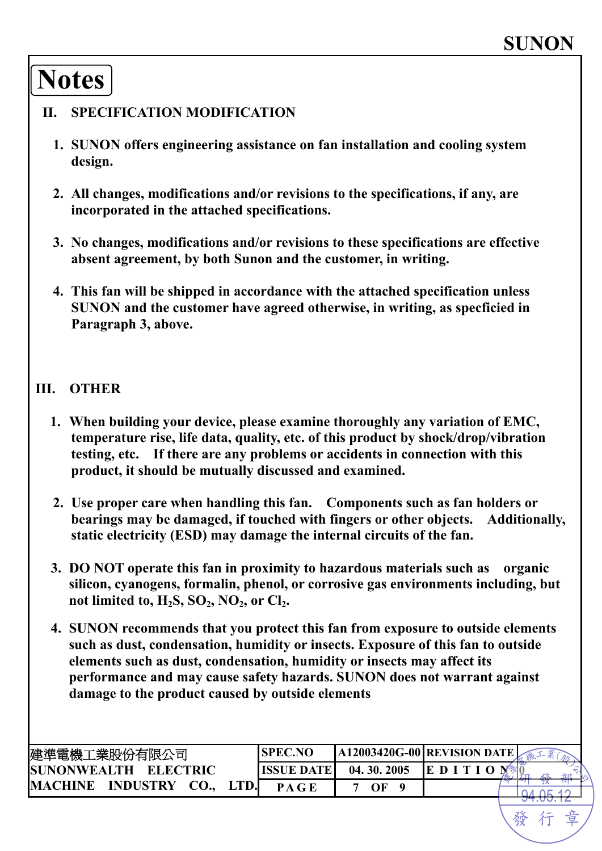# **Notes**

#### **II. SPECIFICATION MODIFICATION**

- **1. SUNON offers engineering assistance on fan installation and cooling system design.**
- **2. All changes, modifications and/or revisions to the specifications, if any, are incorporated in the attached specifications.**
- **3. No changes, modifications and/or revisions to these specifications are effective absent agreement, by both Sunon and the customer, in writing.**
- **4. This fan will be shipped in accordance with the attached specification unless SUNON and the customer have agreed otherwise, in writing, as specficied in Paragraph 3, above.**

#### **III. OTHER**

- **1. When building your device, please examine thoroughly any variation of EMC, temperature rise, life data, quality, etc. of this product by shock/drop/vibration testing, etc. If there are any problems or accidents in connection with this product, it should be mutually discussed and examined.**
- **2. Use proper care when handling this fan. Components such as fan holders or bearings may be damaged, if touched with fingers or other objects. Additionally, static electricity (ESD) may damage the internal circuits of the fan.**
- **3. DO NOT operate this fan in proximity to hazardous materials such as organic silicon, cyanogens, formalin, phenol, or corrosive gas environments including, but**  not limited to,  $H_2S$ ,  $SO_2$ ,  $NO_2$ , or  $Cl_2$ .
- **4. SUNON recommends that you protect this fan from exposure to outside elements such as dust, condensation, humidity or insects. Exposure of this fan to outside elements such as dust, condensation, humidity or insects may affect its performance and may cause safety hazards. SUNON does not warrant against damage to the product caused by outside elements**

| 建準電機工業股份有限公司                              | <b>SPEC.NO</b>    | A12003420G-00 REVISION DATE |   |                         |
|-------------------------------------------|-------------------|-----------------------------|---|-------------------------|
| <b>ISUNONWEALTH</b><br><b>ELECTRIC</b>    | <b>ISSUE DATE</b> | 04.30.2005                  | D | فسأوض<br>$\overline{A}$ |
| <b>INDUSTRY</b><br><b>MACHINE</b><br>CO., | P A G E           | OΕ                          |   |                         |
|                                           |                   |                             |   |                         |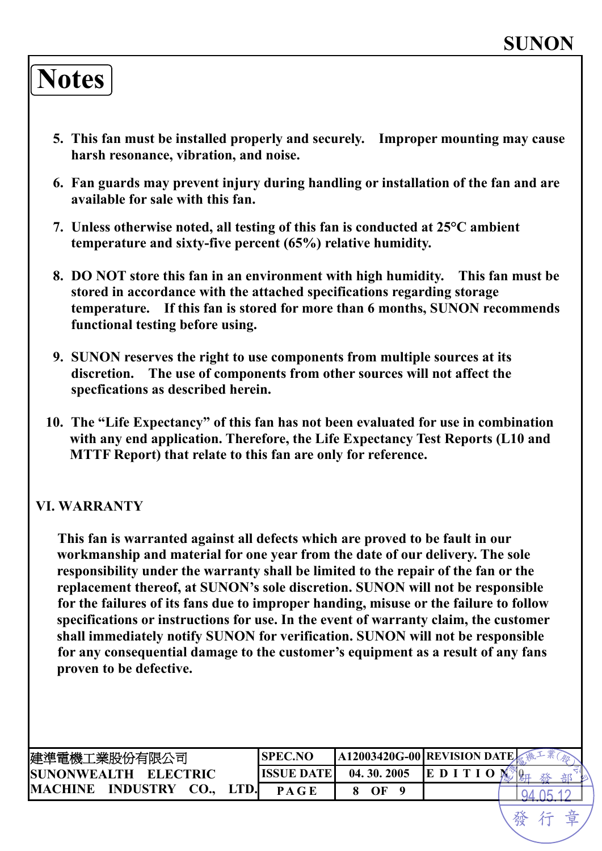## **Notes**

- **5. This fan must be installed properly and securely. Improper mounting may cause harsh resonance, vibration, and noise.**
- **6. Fan guards may prevent injury during handling or installation of the fan and are available for sale with this fan.**
- **7. Unless otherwise noted, all testing of this fan is conducted at 25°C ambient temperature and sixty-five percent (65%) relative humidity.**
- **8. DO NOT store this fan in an environment with high humidity. This fan must be stored in accordance with the attached specifications regarding storage temperature. If this fan is stored for more than 6 months, SUNON recommends functional testing before using.**
- **9. SUNON reserves the right to use components from multiple sources at its discretion. The use of components from other sources will not affect the specfications as described herein.**
- **10. The "Life Expectancy" of this fan has not been evaluated for use in combination with any end application. Therefore, the Life Expectancy Test Reports (L10 and MTTF Report) that relate to this fan are only for reference.**

#### **VI. WARRANTY**

**This fan is warranted against all defects which are proved to be fault in our workmanship and material for one year from the date of our delivery. The sole responsibility under the warranty shall be limited to the repair of the fan or the replacement thereof, at SUNON's sole discretion. SUNON will not be responsible for the failures of its fans due to improper handing, misuse or the failure to follow specifications or instructions for use. In the event of warranty claim, the customer shall immediately notify SUNON for verification. SUNON will not be responsible for any consequential damage to the customer's equipment as a result of any fans proven to be defective.**

| 建準電機工業股份有限公司                          | <b>SPEC.NO</b> | A12003420G-00 REVISION DATE |        |  |
|---------------------------------------|----------------|-----------------------------|--------|--|
| <b>SUNONWEALTH</b><br><b>ELECTRIC</b> | ISSUE DATE I   | 04.30.2005                  | IE D I |  |
| <b>INDUSTRY</b><br><b>MACHINE</b>     |                | OΕ                          |        |  |